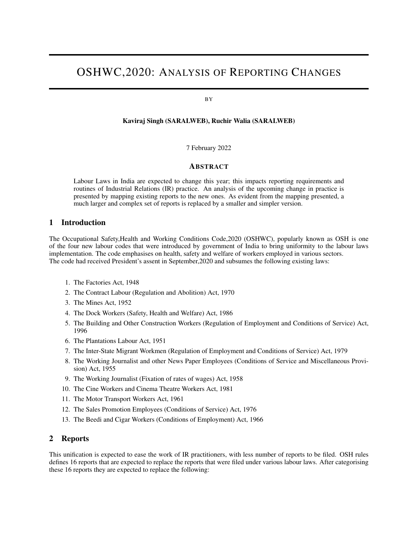# OSHWC,2020: ANALYSIS OF REPORTING CHANGES

#### BY

#### Kaviraj Singh (SARALWEB), Ruchir Walia (SARALWEB)

7 February 2022

### ABSTRACT

Labour Laws in India are expected to change this year; this impacts reporting requirements and routines of Industrial Relations (IR) practice. An analysis of the upcoming change in practice is presented by mapping existing reports to the new ones. As evident from the mapping presented, a much larger and complex set of reports is replaced by a smaller and simpler version.

## 1 Introduction

The Occupational Safety,Health and Working Conditions Code,2020 (OSHWC), popularly known as OSH is one of the four new labour codes that were introduced by government of India to bring uniformity to the labour laws implementation. The code emphasises on health, safety and welfare of workers employed in various sectors. The code had received President's assent in September,2020 and subsumes the following existing laws:

- 1. The Factories Act, 1948
- 2. The Contract Labour (Regulation and Abolition) Act, 1970
- 3. The Mines Act, 1952
- 4. The Dock Workers (Safety, Health and Welfare) Act, 1986
- 5. The Building and Other Construction Workers (Regulation of Employment and Conditions of Service) Act, 1996
- 6. The Plantations Labour Act, 1951
- 7. The Inter-State Migrant Workmen (Regulation of Employment and Conditions of Service) Act, 1979
- 8. The Working Journalist and other News Paper Employees (Conditions of Service and Miscellaneous Provision) Act, 1955
- 9. The Working Journalist (Fixation of rates of wages) Act, 1958
- 10. The Cine Workers and Cinema Theatre Workers Act, 1981
- 11. The Motor Transport Workers Act, 1961
- 12. The Sales Promotion Employees (Conditions of Service) Act, 1976
- 13. The Beedi and Cigar Workers (Conditions of Employment) Act, 1966

## 2 Reports

This unification is expected to ease the work of IR practitioners, with less number of reports to be filed. OSH rules defines 16 reports that are expected to replace the reports that were filed under various labour laws. After categorising these 16 reports they are expected to replace the following: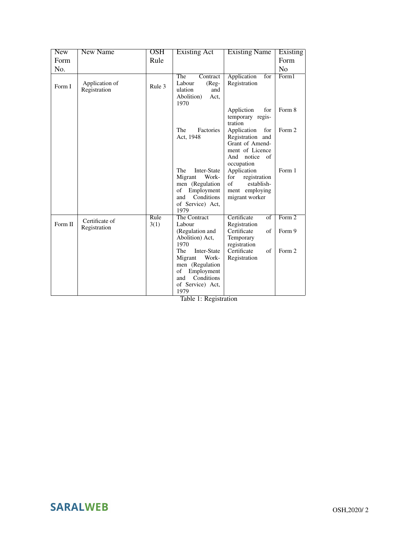| <b>New</b> | <b>New Name</b> | <b>OSH</b> | <b>Existing Act</b>                 | <b>Existing Name</b>                | Existing       |
|------------|-----------------|------------|-------------------------------------|-------------------------------------|----------------|
| Form       |                 | Rule       |                                     |                                     | Form           |
| No.        |                 |            |                                     |                                     | N <sub>0</sub> |
|            |                 |            | The<br>Contract                     | Application<br>for                  | Form1          |
| Form I     | Application of  | Rule 3     | Labour<br>$(Reg-$                   | Registration                        |                |
|            | Registration    |            | ulation<br>and                      |                                     |                |
|            |                 |            | Abolition)<br>Act,<br>1970          |                                     |                |
|            |                 |            |                                     | Appliction<br>for                   | Form 8         |
|            |                 |            |                                     | temporary regis-                    |                |
|            |                 |            |                                     | tration                             |                |
|            |                 |            | The<br>Factories                    | Application<br>for                  | Form 2         |
|            |                 |            | Act, 1948                           | Registration and<br>Grant of Amend- |                |
|            |                 |            |                                     | ment of Licence                     |                |
|            |                 |            |                                     | And<br>notice of                    |                |
|            |                 |            |                                     | occupation                          |                |
|            |                 |            | The<br>Inter-State                  | Application                         | Form 1         |
|            |                 |            | Work-<br>Migrant                    | for<br>registration<br>$\sigma$ f   |                |
|            |                 |            | men (Regulation<br>of<br>Employment | establish-<br>ment employing        |                |
|            |                 |            | Conditions<br>and                   | migrant worker                      |                |
|            |                 |            | of Service) Act,                    |                                     |                |
|            |                 |            | 1979                                |                                     |                |
|            | Certificate of  | Rule       | The Contract                        | Certificate<br>$\overline{of}$      | Form 2         |
| Form II    | Registration    | 3(1)       | Labour<br>(Regulation and           | Registration<br>Certificate<br>of   | Form 9         |
|            |                 |            | Abolition) Act,                     | Temporary                           |                |
|            |                 |            | 1970                                | registration                        |                |
|            |                 |            | The<br>Inter-State                  | Certificate<br>of                   | Form 2         |
|            |                 |            | Work-<br>Migrant                    | Registration                        |                |
|            |                 |            | men (Regulation<br>of               |                                     |                |
|            |                 |            | Employment<br>Conditions<br>and     |                                     |                |
|            |                 |            | of Service) Act,                    |                                     |                |
|            |                 |            | 1979                                |                                     |                |

Table 1: Registration

**SARALWEB**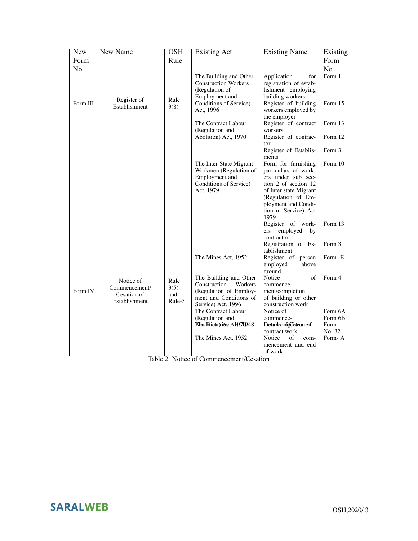| <b>New</b>       | <b>New Name</b>                                            | <b>OSH</b>                    | <b>Existing Act</b>                                                                                                                                | <b>Existing Name</b>                                                                                                                                                                                      | Existing                            |
|------------------|------------------------------------------------------------|-------------------------------|----------------------------------------------------------------------------------------------------------------------------------------------------|-----------------------------------------------------------------------------------------------------------------------------------------------------------------------------------------------------------|-------------------------------------|
| Form             |                                                            | Rule                          |                                                                                                                                                    |                                                                                                                                                                                                           | Form                                |
| N <sub>0</sub> . |                                                            |                               |                                                                                                                                                    |                                                                                                                                                                                                           | N <sub>o</sub>                      |
| Form III         | Register of<br>Establishment                               | Rule<br>3(8)                  | The Building and Other<br><b>Construction Workers</b><br>(Regulation of<br>Employment and<br>Conditions of Service)<br>Act, 1996                   | Application<br>for<br>registration of estab-<br>lishment employing<br>building workers<br>Register of building<br>workers employed by                                                                     | Form 1<br>Form 15                   |
|                  |                                                            |                               | The Contract Labour<br>(Regulation and<br>Abolition) Act, 1970                                                                                     | the employer<br>Register of contract<br>workers<br>Register of contrac-                                                                                                                                   | Form 13<br>Form 12                  |
|                  |                                                            |                               |                                                                                                                                                    | tor<br>Register of Establis-                                                                                                                                                                              | Form 3                              |
|                  |                                                            |                               | The Inter-State Migrant<br>Workmen (Regulation of<br>Employment and<br>Conditions of Service)<br>Act, 1979                                         | ments<br>Form for furnishing<br>particulars of work-<br>ers under sub sec-<br>tion 2 of section 12<br>of Inter state Migrant<br>(Regulation of Em-<br>ployment and Condi-<br>tion of Service) Act<br>1979 | Form 10                             |
|                  |                                                            |                               |                                                                                                                                                    | Register of work-<br>employed<br>ers<br>by<br>contractor<br>Registration of Es-                                                                                                                           | Form 13<br>Form 3                   |
|                  |                                                            |                               | The Mines Act, 1952                                                                                                                                | tablishment<br>Register of<br>person<br>employed<br>above<br>ground                                                                                                                                       | Form-E                              |
| Form IV          | Notice of<br>Commencement/<br>Cesation of<br>Establishment | Rule<br>3(5)<br>and<br>Rule-5 | The Building and Other<br>Construction<br>Workers<br>(Regulation of Employ-<br>ment and Conditions of<br>Service) Act, 1996<br>The Contract Labour | Notice<br>of<br>commence-<br>ment/completion<br>of building or other<br>construction work<br>Notice of                                                                                                    | Form 4<br>Form 6A                   |
|                  |                                                            |                               | (Regulation and<br>Albe Frictoriast At 0,70948<br>The Mines Act, 1952                                                                              | commence-<br>Executive confidentiation of<br>contract work<br><b>Notice</b><br>of<br>com-<br>mencement and end<br>of work                                                                                 | Form 6B<br>Form<br>No. 32<br>Form-A |
|                  |                                                            |                               |                                                                                                                                                    |                                                                                                                                                                                                           |                                     |

Table 2: Notice of Commencement/Cesation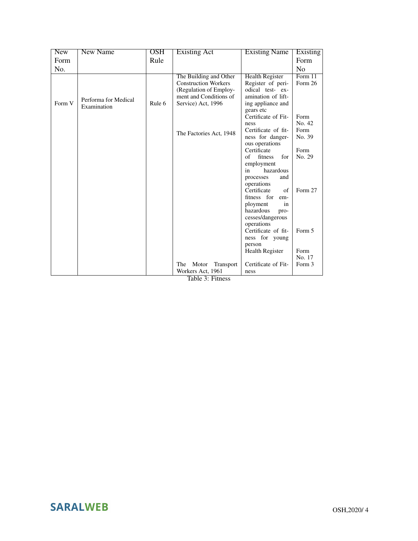| <b>New</b>       | New Name                            | <b>OSH</b> | Existing Act                                                                                                                    | <b>Existing Name</b>                                                                                                    | Existing                 |
|------------------|-------------------------------------|------------|---------------------------------------------------------------------------------------------------------------------------------|-------------------------------------------------------------------------------------------------------------------------|--------------------------|
| Form             |                                     | Rule       |                                                                                                                                 |                                                                                                                         | Form                     |
| N <sub>0</sub> . |                                     |            |                                                                                                                                 |                                                                                                                         | N <sub>0</sub>           |
| Form V           | Performa for Medical<br>Examination | Rule 6     | The Building and Other<br><b>Construction Workers</b><br>(Regulation of Employ-<br>ment and Conditions of<br>Service) Act, 1996 | <b>Health Register</b><br>Register of peri-<br>odical test- ex-<br>amination of lift-<br>ing appliance and<br>gears etc | Form $11$<br>Form 26     |
|                  |                                     |            |                                                                                                                                 | Certificate of Fit-                                                                                                     | Form                     |
|                  |                                     |            | The Factories Act, 1948                                                                                                         | ness<br>Certificate of fit-<br>ness for danger-<br>ous operations                                                       | No. 42<br>Form<br>No. 39 |
|                  |                                     |            |                                                                                                                                 | Certificate                                                                                                             | Form                     |
|                  |                                     |            |                                                                                                                                 | of<br>fitness<br>for                                                                                                    | No. 29                   |
|                  |                                     |            |                                                                                                                                 | employment                                                                                                              |                          |
|                  |                                     |            |                                                                                                                                 | hazardous<br>in                                                                                                         |                          |
|                  |                                     |            |                                                                                                                                 | and<br>processes<br>operations                                                                                          |                          |
|                  |                                     |            |                                                                                                                                 | Certificate<br>$\sigma$ f                                                                                               | Form 27                  |
|                  |                                     |            |                                                                                                                                 | fitness for<br>em-                                                                                                      |                          |
|                  |                                     |            |                                                                                                                                 | ployment<br>in                                                                                                          |                          |
|                  |                                     |            |                                                                                                                                 | hazardous<br>pro-                                                                                                       |                          |
|                  |                                     |            |                                                                                                                                 | cesses/dangerous                                                                                                        |                          |
|                  |                                     |            |                                                                                                                                 | operations                                                                                                              |                          |
|                  |                                     |            |                                                                                                                                 | Certificate of fit-                                                                                                     | Form 5                   |
|                  |                                     |            |                                                                                                                                 | ness for young                                                                                                          |                          |
|                  |                                     |            |                                                                                                                                 | person<br><b>Health Register</b>                                                                                        | Form                     |
|                  |                                     |            |                                                                                                                                 |                                                                                                                         | No. 17                   |
|                  |                                     |            | The<br>Transport<br>Motor                                                                                                       | Certificate of Fit-                                                                                                     | Form 3                   |
|                  |                                     |            | Workers Act, 1961                                                                                                               | ness                                                                                                                    |                          |
|                  |                                     |            | Table 3: Fitness                                                                                                                |                                                                                                                         |                          |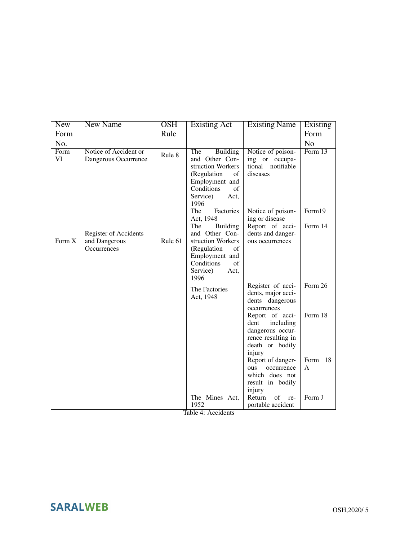| <b>New</b> | <b>New Name</b>                                              | <b>OSH</b> | <b>Existing Act</b>                                                                                                                                       | <b>Existing Name</b>                                                                                        | Existing        |
|------------|--------------------------------------------------------------|------------|-----------------------------------------------------------------------------------------------------------------------------------------------------------|-------------------------------------------------------------------------------------------------------------|-----------------|
| Form       |                                                              | Rule       |                                                                                                                                                           |                                                                                                             | Form            |
| No.        |                                                              |            |                                                                                                                                                           |                                                                                                             | N <sub>0</sub>  |
| Form<br>VI | Notice of Accident or<br>Dangerous Occurrence                | Rule 8     | The<br><b>Building</b><br>and Other Con-<br>struction Workers<br>(Regulation<br>of<br>Employment and                                                      | Notice of poison-<br>ing or occupa-<br>tional notifiable<br>diseases                                        | Form 13         |
|            |                                                              |            | Conditions<br>of<br>Service)<br>Act,<br>1996<br>The<br>Factories                                                                                          | Notice of poison-                                                                                           | Form19          |
| Form X     | <b>Register of Accidents</b><br>and Dangerous<br>Occurrences | Rule 61    | Act, 1948<br><b>Building</b><br>The<br>and Other Con-<br>struction Workers<br>(Regulation<br>of<br>Employment and<br>Conditions<br>of<br>Service)<br>Act, | ing or disease<br>Report of acci-<br>dents and danger-<br>ous occurrences                                   | Form 14         |
|            |                                                              |            | 1996<br>The Factories<br>Act, 1948                                                                                                                        | Register of acci-<br>dents, major acci-<br>dents dangerous<br>occurrences                                   | Form 26         |
|            |                                                              |            |                                                                                                                                                           | Report of acci-<br>dent<br>including<br>dangerous occur-<br>rence resulting in<br>death or bodily<br>injury | Form 18         |
|            |                                                              |            |                                                                                                                                                           | Report of danger-<br>ous<br>occurrence<br>which does not<br>result in bodily<br>injury                      | Form<br>18<br>A |
|            |                                                              |            | The Mines Act,<br>1952                                                                                                                                    | of<br>Return<br>re-<br>portable accident                                                                    | Form J          |

Table 4: Accidents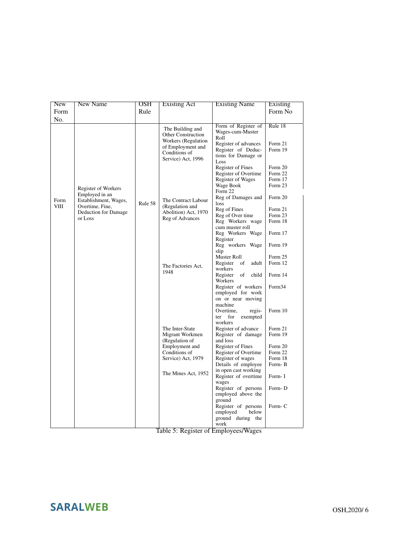| <b>New</b>  | <b>New Name</b>                         | <b>OSH</b> | <b>Existing Act</b>                                           | <b>Existing Name</b>                                                    | <b>Existing</b>    |
|-------------|-----------------------------------------|------------|---------------------------------------------------------------|-------------------------------------------------------------------------|--------------------|
| Form        |                                         | Rule       |                                                               |                                                                         | Form No            |
| No.         |                                         |            |                                                               |                                                                         |                    |
|             |                                         |            | The Building and<br>Other Construction<br>Workers (Regulation | Form of Register of<br>Wages-cum-Muster<br>Roll<br>Register of advances | Rule 18<br>Form 21 |
|             |                                         |            | of Employment and<br>Conditions of<br>Service) Act, 1996      | Register of Deduc-<br>tions for Damage or<br>Loss                       | Form 19            |
|             |                                         |            |                                                               | Register of Fines<br>Register of Overtime                               | Form 20<br>Form 22 |
|             | Register of Workers                     |            |                                                               | Register of Wages<br>Wage Book                                          | Form 17<br>Form 23 |
| Form        | Employed in an<br>Establishment, Wages, | Rule 58    | The Contract Labour                                           | Form 22<br>Reg of Damages and<br>loss                                   | Form 20            |
| <b>VIII</b> | Overtime, Fine,<br>Deduction for Damage |            | (Regulation and<br>Abolition) Act, 1970                       | Reg of Fines                                                            | Form 21            |
|             | or Loss                                 |            | Reg of Advances                                               | Reg of Over time                                                        | Form 23            |
|             |                                         |            |                                                               | Reg Workers wage<br>cum muster roll                                     | Form 18            |
|             |                                         |            |                                                               | Reg Workers Wage<br>Register                                            | Form 17            |
|             |                                         |            |                                                               | Reg workers Wage<br>slip                                                | Form 19            |
|             |                                         |            |                                                               | Muster Roll                                                             | Form 25            |
|             |                                         |            | The Factories Act,                                            | Register<br>of<br>adult<br>workers                                      | Form 12            |
|             |                                         |            | 1948                                                          | Register<br>of<br>child<br>Workers                                      | Form 14            |
|             |                                         |            |                                                               | Register of workers<br>employed for work<br>on or near moving           | Form34             |
|             |                                         |            |                                                               | machine<br>Overtime,<br>regis-<br>ter<br>for<br>exempted<br>workers     | Form 10            |
|             |                                         |            | The Inter-State                                               | Register of advance                                                     | Form 21            |
|             |                                         |            | Migrant Workmen<br>(Regulation of                             | Register of damage<br>and loss                                          | Form 19            |
|             |                                         |            | Employment and                                                | Register of Fines                                                       | Form 20            |
|             |                                         |            | Conditions of                                                 | Register of Overtime                                                    | Form 22            |
|             |                                         |            | Service) Act, 1979                                            | Register of wages<br>Details of employee                                | Form 18<br>Form-B  |
|             |                                         |            |                                                               | in open cast working                                                    |                    |
|             |                                         |            | The Mines Act, 1952                                           | Register of overtime<br>wages                                           | Form-I             |
|             |                                         |            |                                                               | Register of persons<br>employed above the<br>ground                     | Form-D             |
|             |                                         |            |                                                               | Register of persons<br>employed<br>below<br>ground during the           | Form-C             |
|             |                                         |            |                                                               | work                                                                    |                    |

Table 5: Register of Employees/Wages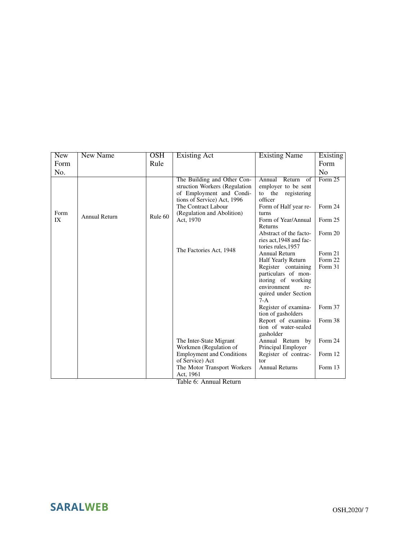| <b>New</b> | <b>New Name</b>      | $\overline{\text{OSH}}$ | <b>Existing Act</b>                                                                                                     | <b>Existing Name</b>                                                                                                    | Existing |
|------------|----------------------|-------------------------|-------------------------------------------------------------------------------------------------------------------------|-------------------------------------------------------------------------------------------------------------------------|----------|
| Form       |                      | Rule                    |                                                                                                                         |                                                                                                                         | Form     |
| No.        |                      |                         |                                                                                                                         |                                                                                                                         | No       |
|            |                      |                         | The Building and Other Con-<br>struction Workers (Regulation<br>of Employment and Condi-<br>tions of Service) Act, 1996 | Return<br>Annual<br>of<br>employer to be sent<br>to the registering<br>officer                                          | Form 25  |
| Form       |                      |                         | The Contract Labour<br>(Regulation and Abolition)                                                                       | Form of Half year re-<br>turns                                                                                          | Form 24  |
| IX         | <b>Annual Return</b> | Rule 60                 | Act, 1970                                                                                                               | Form of Year/Annual<br>Returns                                                                                          | Form 25  |
|            |                      |                         |                                                                                                                         | Abstract of the facto-<br>ries act, 1948 and fac-<br>tories rules, 1957                                                 | Form 20  |
|            |                      |                         | The Factories Act, 1948                                                                                                 | <b>Annual Return</b>                                                                                                    | Form 21  |
|            |                      |                         |                                                                                                                         | Half Yearly Return                                                                                                      | Form 22  |
|            |                      |                         |                                                                                                                         | Register containing<br>particulars of mon-<br>itoring of working<br>environment<br>re-<br>quired under Section<br>$7-A$ | Form 31  |
|            |                      |                         |                                                                                                                         | Register of examina-<br>tion of gasholders                                                                              | Form 37  |
|            |                      |                         |                                                                                                                         | Report of examina-<br>tion of water-sealed<br>gasholder                                                                 | Form 38  |
|            |                      |                         | The Inter-State Migrant                                                                                                 | Annual Return by                                                                                                        | Form 24  |
|            |                      |                         | Workmen (Regulation of                                                                                                  | Principal Employer                                                                                                      |          |
|            |                      |                         | <b>Employment and Conditions</b><br>of Service) Act                                                                     | Register of contrac-<br>tor                                                                                             | Form 12  |
|            |                      |                         | The Motor Transport Workers<br>Act, 1961<br>$T-1$ $\sim$ $\sim$ $\sim$<br>$-1$ D $-1$                                   | <b>Annual Returns</b>                                                                                                   | Form 13  |

Table 6: Annual Return

**SARALWEB**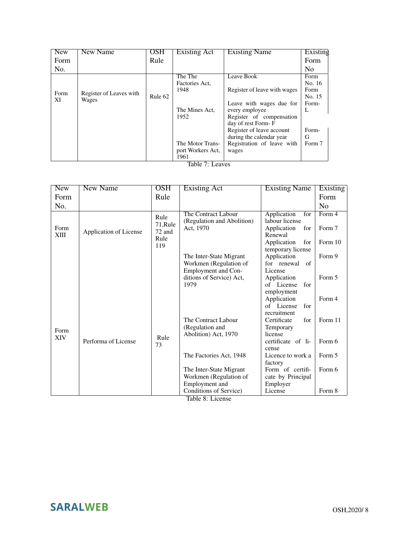| <b>New</b> | New Name                | OSH     | Existing Act      | <b>Existing Name</b>         | Existing       |
|------------|-------------------------|---------|-------------------|------------------------------|----------------|
| Form       |                         | Rule    |                   |                              | Form           |
| No.        |                         |         |                   |                              | N <sub>o</sub> |
|            |                         |         | The The           | Leave Book                   | Form           |
|            |                         |         | Factories Act.    |                              | No. 16         |
| Form       | Register of Leaves with |         | 1948              | Register of leave with wages | Form           |
| XI         | Wages                   | Rule 62 |                   |                              | No. 15         |
|            |                         |         |                   | Leave with wages due for     | Form-          |
|            |                         |         | The Mines Act,    | every employee               | L              |
|            |                         |         | 1952              | Register of compensation     |                |
|            |                         |         |                   | day of rest Form-F           |                |
|            |                         |         |                   | Register of leave account    | Form-          |
|            |                         |         |                   | during the calendar year     | G              |
|            |                         |         | The Motor Trans-  | Registration of leave with   | Form 7         |
|            |                         |         | port Workers Act, | wages                        |                |
|            |                         |         | 1961              |                              |                |

Table 7: Leaves

| <b>New</b>   | <b>New Name</b>        | $\overline{\text{OSH}}$                   | <b>Existing Act</b>                                                      | <b>Existing Name</b>                                                                                             | Existing                    |
|--------------|------------------------|-------------------------------------------|--------------------------------------------------------------------------|------------------------------------------------------------------------------------------------------------------|-----------------------------|
| Form         |                        | Rule                                      |                                                                          |                                                                                                                  | Form                        |
| No.          |                        |                                           |                                                                          |                                                                                                                  | N <sub>0</sub>              |
| Form<br>XIII | Application of License | Rule<br>71, Rule<br>72 and<br>Rule<br>119 | The Contract Labour<br>(Regulation and Abolition)<br>Act, 1970           | Application<br>for<br>labour license<br>Application<br>for<br>Renewal<br>Application<br>for<br>temporary license | Form 4<br>Form 7<br>Form 10 |
|              |                        |                                           | The Inter-State Migrant<br>Workmen (Regulation of<br>Employment and Con- | Application<br>for renewal<br>of<br>License                                                                      | Form 9                      |
|              |                        |                                           | ditions of Service) Act,<br>1979                                         | Application<br>of License<br>for<br>employment                                                                   | Form 5                      |
|              |                        |                                           |                                                                          | Application<br>of License<br>for<br>recruitment                                                                  | Form 4                      |
| Form<br>XIV  | Performa of License    |                                           | The Contract Labour<br>(Regulation and<br>Abolition) Act, 1970           | Certificate<br>for<br>Temporary<br>license                                                                       | Form 11                     |
|              |                        | Rule<br>73                                |                                                                          | certificate of li-<br>cense                                                                                      | Form 6                      |
|              |                        |                                           | The Factories Act, 1948                                                  | Licence to work a<br>factory                                                                                     | Form 5                      |
|              |                        |                                           | The Inter-State Migrant<br>Workmen (Regulation of<br>Employment and      | Form of certifi-<br>cate by Principal                                                                            | Form 6                      |
|              |                        |                                           | Conditions of Service)                                                   | Employer<br>License                                                                                              | Form 8                      |

Table 8: License